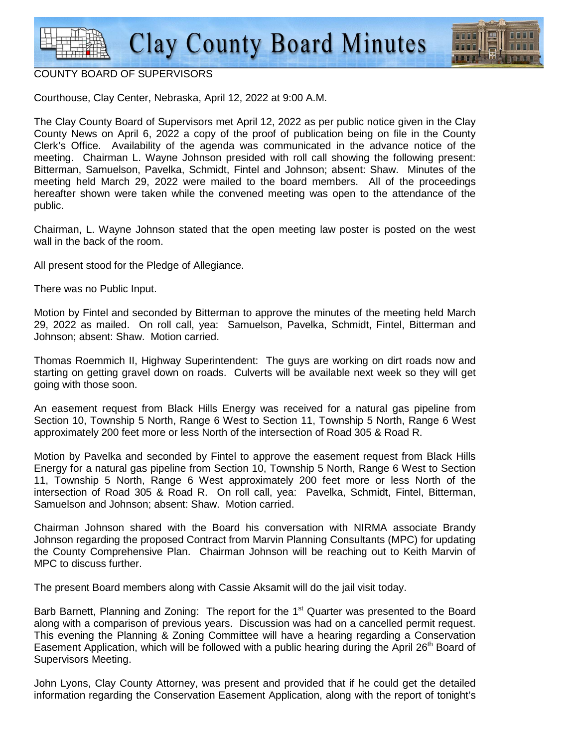

## COUNTY BOARD OF SUPERVISORS

Courthouse, Clay Center, Nebraska, April 12, 2022 at 9:00 A.M.

The Clay County Board of Supervisors met April 12, 2022 as per public notice given in the Clay County News on April 6, 2022 a copy of the proof of publication being on file in the County Clerk's Office. Availability of the agenda was communicated in the advance notice of the meeting. Chairman L. Wayne Johnson presided with roll call showing the following present: Bitterman, Samuelson, Pavelka, Schmidt, Fintel and Johnson; absent: Shaw. Minutes of the meeting held March 29, 2022 were mailed to the board members. All of the proceedings hereafter shown were taken while the convened meeting was open to the attendance of the public.

Chairman, L. Wayne Johnson stated that the open meeting law poster is posted on the west wall in the back of the room.

All present stood for the Pledge of Allegiance.

There was no Public Input.

Motion by Fintel and seconded by Bitterman to approve the minutes of the meeting held March 29, 2022 as mailed. On roll call, yea: Samuelson, Pavelka, Schmidt, Fintel, Bitterman and Johnson; absent: Shaw. Motion carried.

Thomas Roemmich II, Highway Superintendent: The guys are working on dirt roads now and starting on getting gravel down on roads. Culverts will be available next week so they will get going with those soon.

An easement request from Black Hills Energy was received for a natural gas pipeline from Section 10, Township 5 North, Range 6 West to Section 11, Township 5 North, Range 6 West approximately 200 feet more or less North of the intersection of Road 305 & Road R.

Motion by Pavelka and seconded by Fintel to approve the easement request from Black Hills Energy for a natural gas pipeline from Section 10, Township 5 North, Range 6 West to Section 11, Township 5 North, Range 6 West approximately 200 feet more or less North of the intersection of Road 305 & Road R. On roll call, yea: Pavelka, Schmidt, Fintel, Bitterman, Samuelson and Johnson; absent: Shaw. Motion carried.

Chairman Johnson shared with the Board his conversation with NIRMA associate Brandy Johnson regarding the proposed Contract from Marvin Planning Consultants (MPC) for updating the County Comprehensive Plan. Chairman Johnson will be reaching out to Keith Marvin of MPC to discuss further.

The present Board members along with Cassie Aksamit will do the jail visit today.

Barb Barnett, Planning and Zoning: The report for the  $1<sup>st</sup>$  Quarter was presented to the Board along with a comparison of previous years. Discussion was had on a cancelled permit request. This evening the Planning & Zoning Committee will have a hearing regarding a Conservation Easement Application, which will be followed with a public hearing during the April 26<sup>th</sup> Board of Supervisors Meeting.

John Lyons, Clay County Attorney, was present and provided that if he could get the detailed information regarding the Conservation Easement Application, along with the report of tonight's